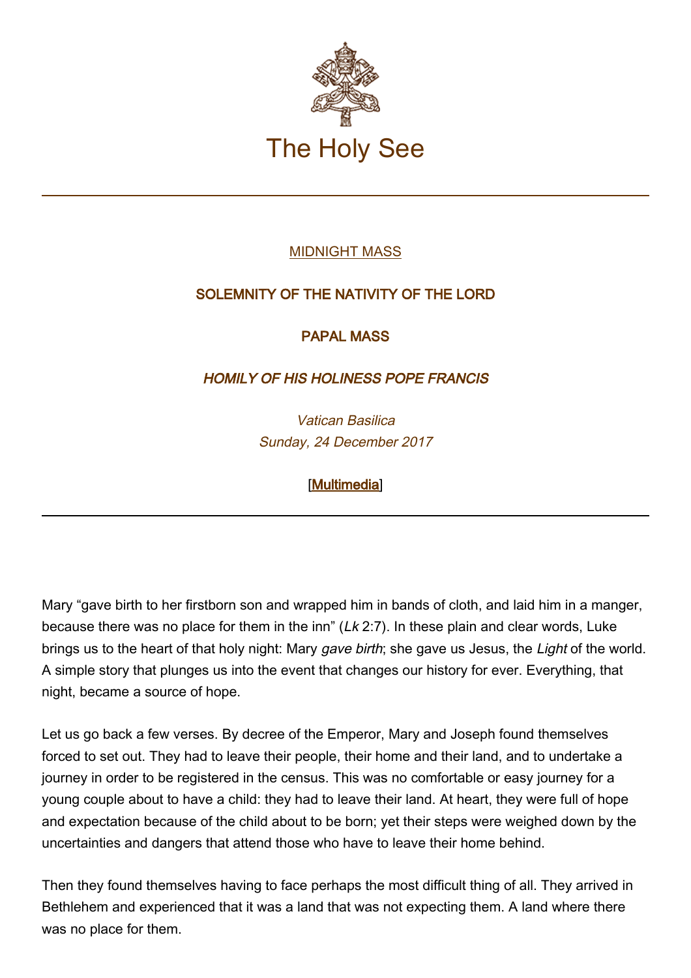

## [MIDNIGHT MASS](http://www.vatican.va/news_services/liturgy/libretti/2017/20171224-libretto-natale_notte.pdf)

## SOLEMNITY OF THE NATIVITY OF THE LORD

PAPAL MASS

HOMILY OF HIS HOLINESS POPE FRANCIS

Vatican Basilica Sunday, 24 December 2017

[\[Multimedia](http://w2.vatican.va/content/francesco/en/events/event.dir.html/content/vaticanevents/en/2017/12/24/messa-natale.html)]

Mary "gave birth to her firstborn son and wrapped him in bands of cloth, and laid him in a manger, because there was no place for them in the inn" (Lk 2:7). In these plain and clear words, Luke brings us to the heart of that holy night: Mary gave birth; she gave us Jesus, the Light of the world. A simple story that plunges us into the event that changes our history for ever. Everything, that night, became a source of hope.

Let us go back a few verses. By decree of the Emperor, Mary and Joseph found themselves forced to set out. They had to leave their people, their home and their land, and to undertake a journey in order to be registered in the census. This was no comfortable or easy journey for a young couple about to have a child: they had to leave their land. At heart, they were full of hope and expectation because of the child about to be born; yet their steps were weighed down by the uncertainties and dangers that attend those who have to leave their home behind.

Then they found themselves having to face perhaps the most difficult thing of all. They arrived in Bethlehem and experienced that it was a land that was not expecting them. A land where there was no place for them.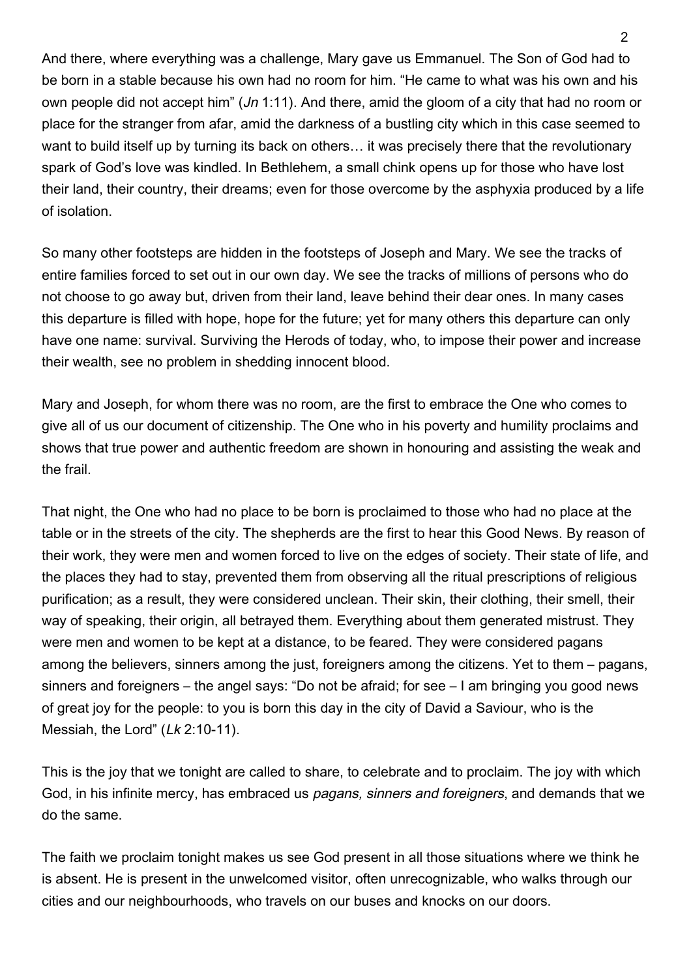And there, where everything was a challenge, Mary gave us Emmanuel. The Son of God had to be born in a stable because his own had no room for him. "He came to what was his own and his own people did not accept him" (Jn 1:11). And there, amid the gloom of a city that had no room or place for the stranger from afar, amid the darkness of a bustling city which in this case seemed to want to build itself up by turning its back on others… it was precisely there that the revolutionary spark of God's love was kindled. In Bethlehem, a small chink opens up for those who have lost their land, their country, their dreams; even for those overcome by the asphyxia produced by a life of isolation.

So many other footsteps are hidden in the footsteps of Joseph and Mary. We see the tracks of entire families forced to set out in our own day. We see the tracks of millions of persons who do not choose to go away but, driven from their land, leave behind their dear ones. In many cases this departure is filled with hope, hope for the future; yet for many others this departure can only have one name: survival. Surviving the Herods of today, who, to impose their power and increase their wealth, see no problem in shedding innocent blood.

Mary and Joseph, for whom there was no room, are the first to embrace the One who comes to give all of us our document of citizenship. The One who in his poverty and humility proclaims and shows that true power and authentic freedom are shown in honouring and assisting the weak and the frail.

That night, the One who had no place to be born is proclaimed to those who had no place at the table or in the streets of the city. The shepherds are the first to hear this Good News. By reason of their work, they were men and women forced to live on the edges of society. Their state of life, and the places they had to stay, prevented them from observing all the ritual prescriptions of religious purification; as a result, they were considered unclean. Their skin, their clothing, their smell, their way of speaking, their origin, all betrayed them. Everything about them generated mistrust. They were men and women to be kept at a distance, to be feared. They were considered pagans among the believers, sinners among the just, foreigners among the citizens. Yet to them – pagans, sinners and foreigners – the angel says: "Do not be afraid; for see – I am bringing you good news of great joy for the people: to you is born this day in the city of David a Saviour, who is the Messiah, the Lord" (Lk 2:10-11).

This is the joy that we tonight are called to share, to celebrate and to proclaim. The joy with which God, in his infinite mercy, has embraced us *pagans, sinners and foreigners*, and demands that we do the same.

The faith we proclaim tonight makes us see God present in all those situations where we think he is absent. He is present in the unwelcomed visitor, often unrecognizable, who walks through our cities and our neighbourhoods, who travels on our buses and knocks on our doors.